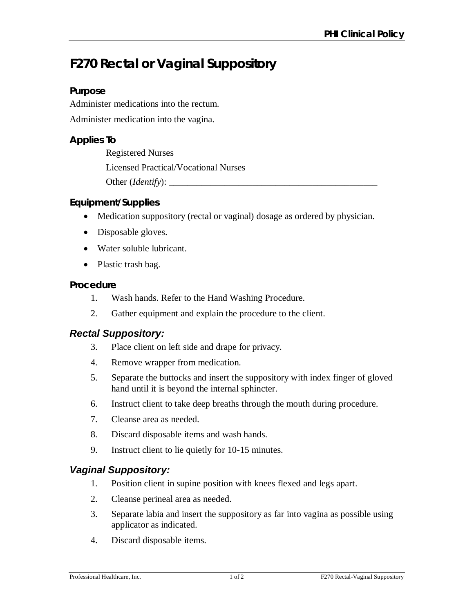# **F270 Rectal or Vaginal Suppository**

## **Purpose**

Administer medications into the rectum.

Administer medication into the vagina.

## **Applies To**

Registered Nurses Licensed Practical/Vocational Nurses Other (*Identify*): \_\_\_\_\_\_\_\_\_\_\_\_\_\_\_\_\_\_\_\_\_\_\_\_\_\_\_\_\_\_\_\_\_\_\_\_\_\_\_\_\_\_\_\_\_

## **Equipment/Supplies**

- Medication suppository (rectal or vaginal) dosage as ordered by physician.
- Disposable gloves.
- Water soluble lubricant.
- Plastic trash bag.

## **Procedure**

- 1. Wash hands. Refer to the Hand Washing Procedure.
- 2. Gather equipment and explain the procedure to the client.

## *Rectal Suppository:*

- 3. Place client on left side and drape for privacy.
- 4. Remove wrapper from medication.
- 5. Separate the buttocks and insert the suppository with index finger of gloved hand until it is beyond the internal sphincter.
- 6. Instruct client to take deep breaths through the mouth during procedure.
- 7. Cleanse area as needed.
- 8. Discard disposable items and wash hands.
- 9. Instruct client to lie quietly for 10-15 minutes.

## *Vaginal Suppository:*

- 1. Position client in supine position with knees flexed and legs apart.
- 2. Cleanse perineal area as needed.
- 3. Separate labia and insert the suppository as far into vagina as possible using applicator as indicated.
- 4. Discard disposable items.